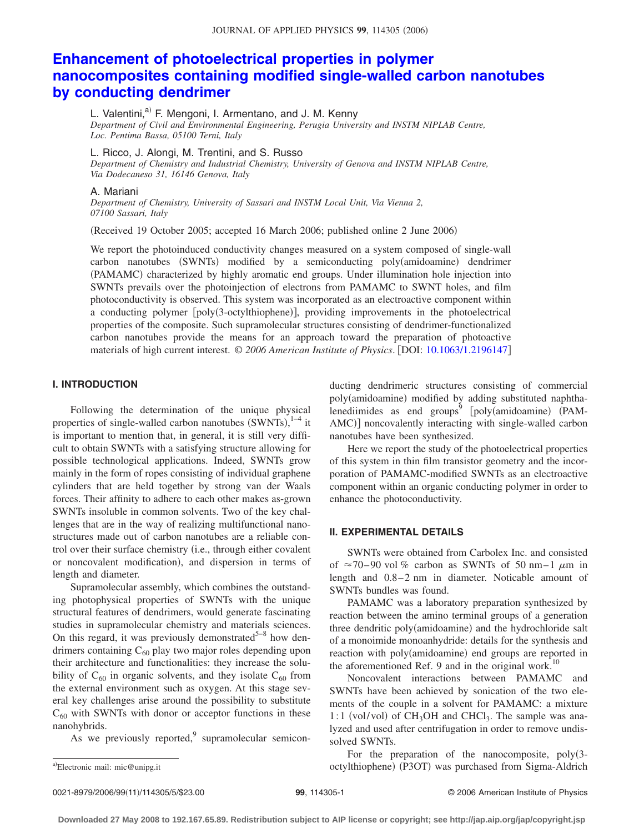# **[Enhancement of photoelectrical properties in polymer](http://dx.doi.org/10.1063/1.2196147) [nanocomposites containing modified single-walled carbon nanotubes](http://dx.doi.org/10.1063/1.2196147) [by conducting dendrimer](http://dx.doi.org/10.1063/1.2196147)**

L. Valentini,<sup>a)</sup> F. Mengoni, I. Armentano, and J. M. Kenny *Department of Civil and Environmental Engineering, Perugia University and INSTM NIPLAB Centre, Loc. Pentima Bassa, 05100 Terni, Italy*

L. Ricco, J. Alongi, M. Trentini, and S. Russo

*Department of Chemistry and Industrial Chemistry, University of Genova and INSTM NIPLAB Centre, Via Dodecaneso 31, 16146 Genova, Italy*

#### A. Mariani

*Department of Chemistry, University of Sassari and INSTM Local Unit, Via Vienna 2, 07100 Sassari, Italy*

(Received 19 October 2005; accepted 16 March 2006; published online 2 June 2006)

We report the photoinduced conductivity changes measured on a system composed of single-wall carbon nanotubes (SWNTs) modified by a semiconducting poly(amidoamine) dendrimer (PAMAMC) characterized by highly aromatic end groups. Under illumination hole injection into SWNTs prevails over the photoinjection of electrons from PAMAMC to SWNT holes, and film photoconductivity is observed. This system was incorporated as an electroactive component within a conducting polymer [poly(3-octylthiophene)], providing improvements in the photoelectrical properties of the composite. Such supramolecular structures consisting of dendrimer-functionalized carbon nanotubes provide the means for an approach toward the preparation of photoactive materials of high current interest. © *2006 American Institute of Physics*. DOI: [10.1063/1.2196147](http://dx.doi.org/10.1063/1.2196147)

## **I. INTRODUCTION**

Following the determination of the unique physical properties of single-walled carbon nanotubes  $(SWNTs),<sup>1-4</sup>$  it is important to mention that, in general, it is still very difficult to obtain SWNTs with a satisfying structure allowing for possible technological applications. Indeed, SWNTs grow mainly in the form of ropes consisting of individual graphene cylinders that are held together by strong van der Waals forces. Their affinity to adhere to each other makes as-grown SWNTs insoluble in common solvents. Two of the key challenges that are in the way of realizing multifunctional nanostructures made out of carbon nanotubes are a reliable control over their surface chemistry (i.e., through either covalent or noncovalent modification), and dispersion in terms of length and diameter.

Supramolecular assembly, which combines the outstanding photophysical properties of SWNTs with the unique structural features of dendrimers, would generate fascinating studies in supramolecular chemistry and materials sciences. On this regard, it was previously demonstrated<sup>5-8</sup> how dendrimers containing  $C_{60}$  play two major roles depending upon their architecture and functionalities: they increase the solubility of  $C_{60}$  in organic solvents, and they isolate  $C_{60}$  from the external environment such as oxygen. At this stage several key challenges arise around the possibility to substitute  $C_{60}$  with SWNTs with donor or acceptor functions in these nanohybrids.

As we previously reported, $\frac{9}{2}$  supramolecular semicon-

ducting dendrimeric structures consisting of commercial poly(amidoamine) modified by adding substituted naphthalenediimides as end groups<sup>9</sup>  $[poly(amidoamine) (PAM-P)$ AMC)] noncovalently interacting with single-walled carbon nanotubes have been synthesized.

Here we report the study of the photoelectrical properties of this system in thin film transistor geometry and the incorporation of PAMAMC-modified SWNTs as an electroactive component within an organic conducting polymer in order to enhance the photoconductivity.

## **II. EXPERIMENTAL DETAILS**

SWNTs were obtained from Carbolex Inc. and consisted of  $\approx$ 70–90 vol % carbon as SWNTs of 50 nm–1  $\mu$ m in length and  $0.8-2$  nm in diameter. Noticable amount of SWNTs bundles was found.

PAMAMC was a laboratory preparation synthesized by reaction between the amino terminal groups of a generation three dendritic poly(amidoamine) and the hydrochloride salt of a monoimide monoanhydride: details for the synthesis and reaction with poly(amidoamine) end groups are reported in the aforementioned Ref. 9 and in the original work.<sup>10</sup>

Noncovalent interactions between PAMAMC and SWNTs have been achieved by sonication of the two elements of the couple in a solvent for PAMAMC: a mixture 1:1 (vol/vol) of CH<sub>3</sub>OH and CHCl<sub>3</sub>. The sample was analyzed and used after centrifugation in order to remove undissolved SWNTs.

For the preparation of the nanocomposite,  $poly(3$ a)Electronic mail: mic@unipg.it **A-company company of the company of the company of the company of the company of the company of the company of the company of the company of the company of the company of the company of the** 

Electronic mail: mic@unipg.it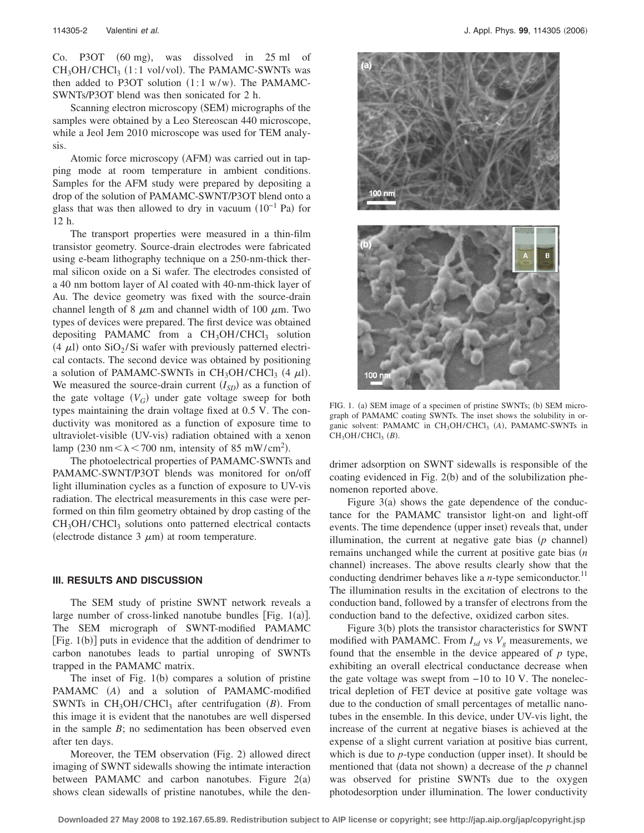Co. P3OT (60 mg), was dissolved in 25 ml of  $CH<sub>3</sub>OH/CHCl<sub>3</sub>$  (1:1 vol/vol). The PAMAMC-SWNTs was then added to P3OT solution  $(1:1 \text{ w/w})$ . The PAMAMC-SWNTs/P3OT blend was then sonicated for 2 h.

Scanning electron microscopy (SEM) micrographs of the samples were obtained by a Leo Stereoscan 440 microscope, while a Jeol Jem 2010 microscope was used for TEM analysis.

Atomic force microscopy (AFM) was carried out in tapping mode at room temperature in ambient conditions. Samples for the AFM study were prepared by depositing a drop of the solution of PAMAMC-SWNT/P3OT blend onto a glass that was then allowed to dry in vacuum  $(10^{-1}$  Pa) for 12 h.

The transport properties were measured in a thin-film transistor geometry. Source-drain electrodes were fabricated using e-beam lithography technique on a 250-nm-thick thermal silicon oxide on a Si wafer. The electrodes consisted of a 40 nm bottom layer of Al coated with 40-nm-thick layer of Au. The device geometry was fixed with the source-drain channel length of 8  $\mu$ m and channel width of 100  $\mu$ m. Two types of devices were prepared. The first device was obtained depositing PAMAMC from a  $CH<sub>3</sub>OH/CHCl<sub>3</sub>$  solution (4  $\mu$ l) onto SiO<sub>2</sub>/Si wafer with previously patterned electrical contacts. The second device was obtained by positioning a solution of PAMAMC-SWNTs in  $CH_3OH/CHCl_3$  (4  $\mu$ l). We measured the source-drain current  $(I_{SD})$  as a function of the gate voltage  $(V_G)$  under gate voltage sweep for both types maintaining the drain voltage fixed at 0.5 V. The conductivity was monitored as a function of exposure time to ultraviolet-visible (UV-vis) radiation obtained with a xenon lamp (230 nm  $\lt \lambda \lt 700$  nm, intensity of 85 mW/cm<sup>2</sup>).

The photoelectrical properties of PAMAMC-SWNTs and PAMAMC-SWNT/P3OT blends was monitored for on/off light illumination cycles as a function of exposure to UV-vis radiation. The electrical measurements in this case were performed on thin film geometry obtained by drop casting of the  $CH<sub>3</sub>OH/CHCl<sub>3</sub>$  solutions onto patterned electrical contacts (electrode distance  $3 \mu m$ ) at room temperature.

#### **III. RESULTS AND DISCUSSION**

The SEM study of pristine SWNT network reveals a large number of cross-linked nanotube bundles [Fig.  $1(a)$ ]. The SEM micrograph of SWNT-modified PAMAMC [Fig. 1(b)] puts in evidence that the addition of dendrimer to carbon nanotubes leads to partial unroping of SWNTs trapped in the PAMAMC matrix.

The inset of Fig.  $1(b)$  compares a solution of pristine PAMAMC (A) and a solution of PAMAMC-modified SWNTs in CH<sub>3</sub>OH/CHCl<sub>3</sub> after centrifugation (B). From this image it is evident that the nanotubes are well dispersed in the sample *B*; no sedimentation has been observed even after ten days.

Moreover, the TEM observation (Fig. 2) allowed direct imaging of SWNT sidewalls showing the intimate interaction between PAMAMC and carbon nanotubes. Figure  $2(a)$ shows clean sidewalls of pristine nanotubes, while the den-



FIG. 1. (a) SEM image of a specimen of pristine SWNTs; (b) SEM micrograph of PAMAMC coating SWNTs. The inset shows the solubility in organic solvent: PAMAMC in CH<sub>3</sub>OH/CHCl<sub>3</sub> (A), PAMAMC-SWNTs in  $CH<sub>3</sub>OH/CHCl<sub>3</sub> (B)$ .

drimer adsorption on SWNT sidewalls is responsible of the coating evidenced in Fig. 2(b) and of the solubilization phenomenon reported above.

Figure  $3(a)$  shows the gate dependence of the conductance for the PAMAMC transistor light-on and light-off events. The time dependence (upper inset) reveals that, under illumination, the current at negative gate bias  $(p \text{ channel})$ remains unchanged while the current at positive gate bias *n* channel) increases. The above results clearly show that the conducting dendrimer behaves like a  $n$ -type semiconductor.<sup>11</sup> The illumination results in the excitation of electrons to the conduction band, followed by a transfer of electrons from the conduction band to the defective, oxidized carbon sites.

Figure 3(b) plots the transistor characteristics for SWNT modified with PAMAMC. From  $I_{sd}$  vs  $V_g$  measurements, we found that the ensemble in the device appeared of *p* type, exhibiting an overall electrical conductance decrease when the gate voltage was swept from −10 to 10 V. The nonelectrical depletion of FET device at positive gate voltage was due to the conduction of small percentages of metallic nanotubes in the ensemble. In this device, under UV-vis light, the increase of the current at negative biases is achieved at the expense of a slight current variation at positive bias current, which is due to  $p$ -type conduction (upper inset). It should be mentioned that (data not shown) a decrease of the  $p$  channel was observed for pristine SWNTs due to the oxygen photodesorption under illumination. The lower conductivity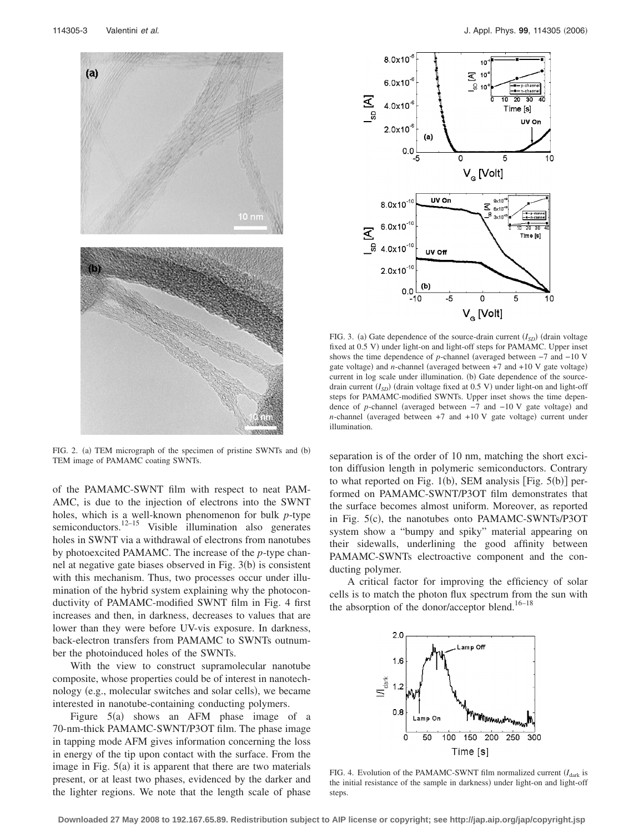

FIG. 2. (a) TEM micrograph of the specimen of pristine SWNTs and (b) TEM image of PAMAMC coating SWNTs.

of the PAMAMC-SWNT film with respect to neat PAM-AMC, is due to the injection of electrons into the SWNT holes, which is a well-known phenomenon for bulk *p*-type semiconductors.<sup>12–15</sup> Visible illumination also generates holes in SWNT via a withdrawal of electrons from nanotubes by photoexcited PAMAMC. The increase of the *p*-type channel at negative gate biases observed in Fig. 3(b) is consistent with this mechanism. Thus, two processes occur under illumination of the hybrid system explaining why the photoconductivity of PAMAMC-modified SWNT film in Fig. 4 first increases and then, in darkness, decreases to values that are lower than they were before UV-vis exposure. In darkness, back-electron transfers from PAMAMC to SWNTs outnumber the photoinduced holes of the SWNTs.

With the view to construct supramolecular nanotube composite, whose properties could be of interest in nanotechnology (e.g., molecular switches and solar cells), we became interested in nanotube-containing conducting polymers.

Figure  $5(a)$  shows an AFM phase image of a 70-nm-thick PAMAMC-SWNT/P3OT film. The phase image in tapping mode AFM gives information concerning the loss in energy of the tip upon contact with the surface. From the image in Fig.  $5(a)$  it is apparent that there are two materials present, or at least two phases, evidenced by the darker and the lighter regions. We note that the length scale of phase



FIG. 3. (a) Gate dependence of the source-drain current  $(I_{SD})$  (drain voltage fixed at 0.5 V) under light-on and light-off steps for PAMAMC. Upper inset shows the time dependence of *p*-channel (averaged between −7 and −10 V gate voltage) and *n*-channel (averaged between  $+7$  and  $+10$  V gate voltage) current in log scale under illumination. (b) Gate dependence of the sourcedrain current ( $I_{SD}$ ) (drain voltage fixed at 0.5 V) under light-on and light-off steps for PAMAMC-modified SWNTs. Upper inset shows the time dependence of *p*-channel (averaged between -7 and -10 V gate voltage) and *n*-channel (averaged between  $+7$  and  $+10$  V gate voltage) current under illumination.

separation is of the order of 10 nm, matching the short exciton diffusion length in polymeric semiconductors. Contrary to what reported on Fig.  $1(b)$ , SEM analysis [Fig.  $5(b)$ ] performed on PAMAMC-SWNT/P3OT film demonstrates that the surface becomes almost uniform. Moreover, as reported in Fig. 5(c), the nanotubes onto PAMAMC-SWNTs/P3OT system show a "bumpy and spiky" material appearing on their sidewalls, underlining the good affinity between PAMAMC-SWNTs electroactive component and the conducting polymer.

A critical factor for improving the efficiency of solar cells is to match the photon flux spectrum from the sun with the absorption of the donor/acceptor blend.<sup>16–18</sup>



FIG. 4. Evolution of the PAMAMC-SWNT film normalized current  $(I<sub>dark</sub>$  is the initial resistance of the sample in darkness) under light-on and light-off steps.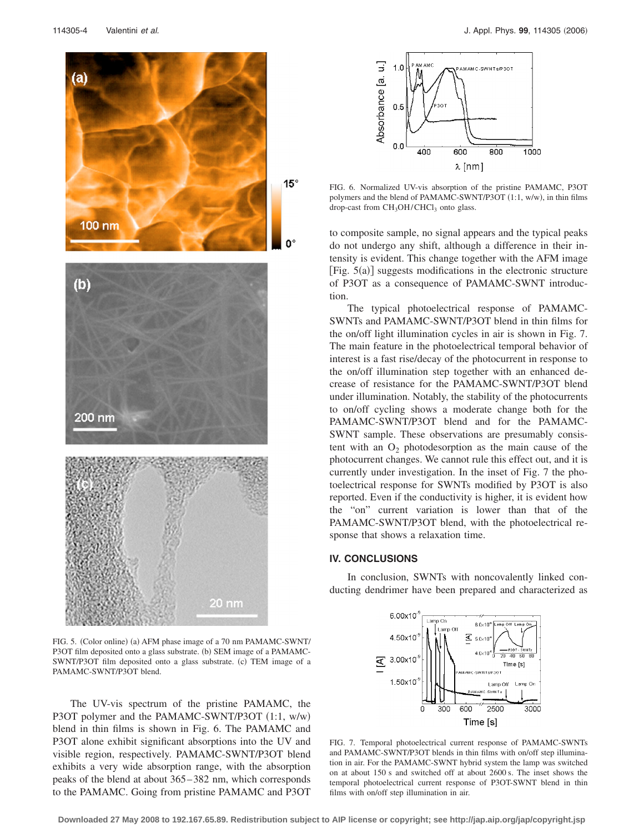

 $15^{\circ}$ 

FIG. 5. (Color online) (a) AFM phase image of a 70 nm PAMAMC-SWNT/ P3OT film deposited onto a glass substrate. (b) SEM image of a PAMAMC-SWNT/P3OT film deposited onto a glass substrate. (c) TEM image of a PAMAMC-SWNT/P3OT blend.

 $20 \text{ nm}$ 

The UV-vis spectrum of the pristine PAMAMC, the P3OT polymer and the PAMAMC-SWNT/P3OT (1:1, w/w) blend in thin films is shown in Fig. 6. The PAMAMC and P3OT alone exhibit significant absorptions into the UV and visible region, respectively. PAMAMC-SWNT/P3OT blend exhibits a very wide absorption range, with the absorption peaks of the blend at about 365– 382 nm, which corresponds to the PAMAMC. Going from pristine PAMAMC and P3OT



FIG. 6. Normalized UV-vis absorption of the pristine PAMAMC, P3OT polymers and the blend of PAMAMC-SWNT/P3OT (1:1, w/w), in thin films drop-cast from  $CH<sub>3</sub>OH/CHCl<sub>3</sub>$  onto glass.

to composite sample, no signal appears and the typical peaks do not undergo any shift, although a difference in their intensity is evident. This change together with the AFM image [Fig. 5(a)] suggests modifications in the electronic structure of P3OT as a consequence of PAMAMC-SWNT introduction.

The typical photoelectrical response of PAMAMC-SWNTs and PAMAMC-SWNT/P3OT blend in thin films for the on/off light illumination cycles in air is shown in Fig. 7. The main feature in the photoelectrical temporal behavior of interest is a fast rise/decay of the photocurrent in response to the on/off illumination step together with an enhanced decrease of resistance for the PAMAMC-SWNT/P3OT blend under illumination. Notably, the stability of the photocurrents to on/off cycling shows a moderate change both for the PAMAMC-SWNT/P3OT blend and for the PAMAMC-SWNT sample. These observations are presumably consistent with an  $O_2$  photodesorption as the main cause of the photocurrent changes. We cannot rule this effect out, and it is currently under investigation. In the inset of Fig. 7 the photoelectrical response for SWNTs modified by P3OT is also reported. Even if the conductivity is higher, it is evident how the "on" current variation is lower than that of the PAMAMC-SWNT/P3OT blend, with the photoelectrical response that shows a relaxation time.

#### **IV. CONCLUSIONS**

In conclusion, SWNTs with noncovalently linked conducting dendrimer have been prepared and characterized as



FIG. 7. Temporal photoelectrical current response of PAMAMC-SWNTs and PAMAMC-SWNT/P3OT blends in thin films with on/off step illumination in air. For the PAMAMC-SWNT hybrid system the lamp was switched on at about 150 s and switched off at about 2600 s. The inset shows the temporal photoelectrical current response of P3OT-SWNT blend in thin films with on/off step illumination in air.